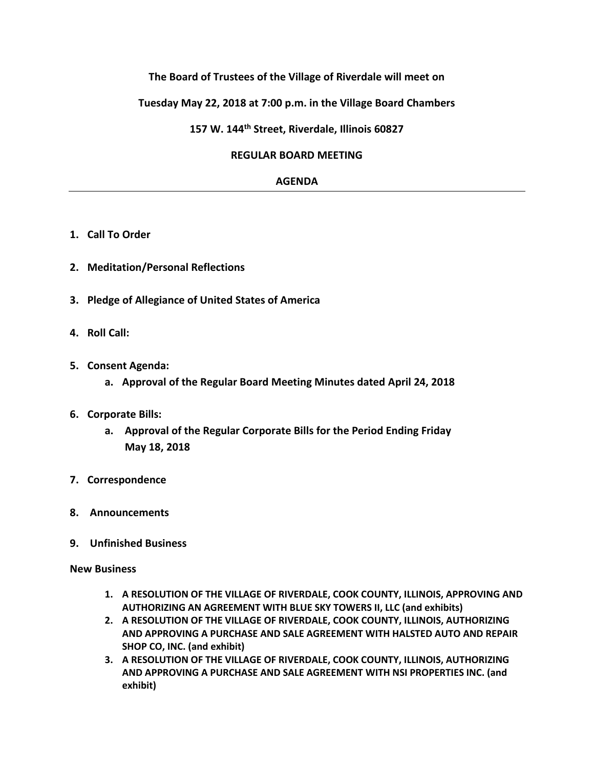# **The Board of Trustees of the Village of Riverdale will meet on**

# **Tuesday May 22, 2018 at 7:00 p.m. in the Village Board Chambers**

## **157 W. 144th Street, Riverdale, Illinois 60827**

#### **REGULAR BOARD MEETING**

### **AGENDA**

- **1. Call To Order**
- **2. Meditation/Personal Reflections**
- **3. Pledge of Allegiance of United States of America**
- **4. Roll Call:**
- **5. Consent Agenda:**
	- **a. Approval of the Regular Board Meeting Minutes dated April 24, 2018**
- **6. Corporate Bills:**
	- **a. Approval of the Regular Corporate Bills for the Period Ending Friday May 18, 2018**
- **7. Correspondence**
- **8. Announcements**
- **9. Unfinished Business**

#### **New Business**

- **1. A RESOLUTION OF THE VILLAGE OF RIVERDALE, COOK COUNTY, ILLINOIS, APPROVING AND AUTHORIZING AN AGREEMENT WITH BLUE SKY TOWERS II, LLC (and exhibits)**
- **2. A RESOLUTION OF THE VILLAGE OF RIVERDALE, COOK COUNTY, ILLINOIS, AUTHORIZING AND APPROVING A PURCHASE AND SALE AGREEMENT WITH HALSTED AUTO AND REPAIR SHOP CO, INC. (and exhibit)**
- **3. A RESOLUTION OF THE VILLAGE OF RIVERDALE, COOK COUNTY, ILLINOIS, AUTHORIZING AND APPROVING A PURCHASE AND SALE AGREEMENT WITH NSI PROPERTIES INC. (and exhibit)**